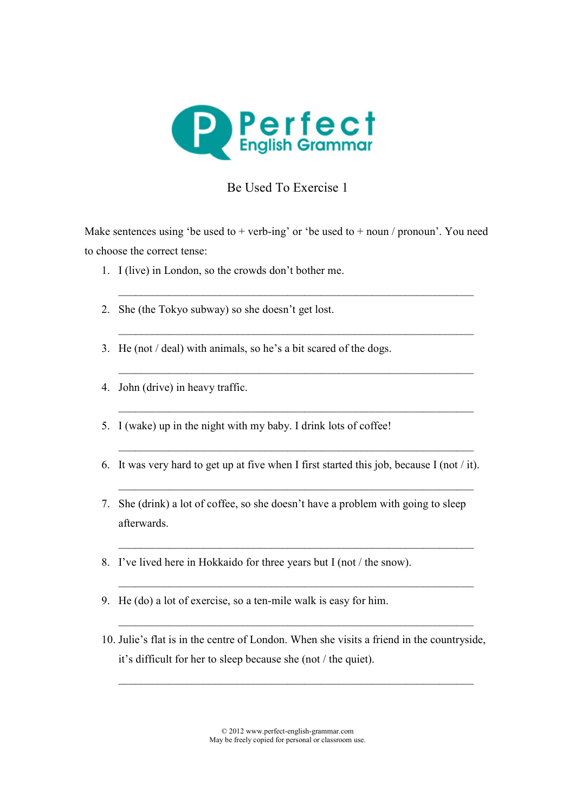

## Be Used To Exercise 1

Make sentences using 'be used to  $+$  verb-ing' or 'be used to  $+$  noun / pronoun'. You need to choose the correct tense:

 $\mathcal{L} = \{ \mathcal{L} = \{ \mathcal{L} \mid \mathcal{L} = \{ \mathcal{L} \mid \mathcal{L} = \{ \mathcal{L} \mid \mathcal{L} = \{ \mathcal{L} \mid \mathcal{L} = \{ \mathcal{L} \mid \mathcal{L} = \{ \mathcal{L} \mid \mathcal{L} = \{ \mathcal{L} \mid \mathcal{L} = \{ \mathcal{L} \mid \mathcal{L} = \{ \mathcal{L} \mid \mathcal{L} = \{ \mathcal{L} \mid \mathcal{L} = \{ \mathcal{L} \mid \mathcal{L} = \{ \mathcal{L} \mid \mathcal{L} =$ 

 $\mathcal{L} = \{ \mathcal{L} = \{ \mathcal{L} \mid \mathcal{L} = \{ \mathcal{L} \mid \mathcal{L} = \{ \mathcal{L} \mid \mathcal{L} = \{ \mathcal{L} \mid \mathcal{L} = \{ \mathcal{L} \mid \mathcal{L} = \{ \mathcal{L} \mid \mathcal{L} = \{ \mathcal{L} \mid \mathcal{L} = \{ \mathcal{L} \mid \mathcal{L} = \{ \mathcal{L} \mid \mathcal{L} = \{ \mathcal{L} \mid \mathcal{L} = \{ \mathcal{L} \mid \mathcal{L} = \{ \mathcal{L} \mid \mathcal{L} =$ 

 $\mathcal{L} = \{ \mathcal{L} = \{ \mathcal{L} \mid \mathcal{L} = \{ \mathcal{L} \mid \mathcal{L} = \{ \mathcal{L} \mid \mathcal{L} = \{ \mathcal{L} \mid \mathcal{L} = \{ \mathcal{L} \mid \mathcal{L} = \{ \mathcal{L} \mid \mathcal{L} = \{ \mathcal{L} \mid \mathcal{L} = \{ \mathcal{L} \mid \mathcal{L} = \{ \mathcal{L} \mid \mathcal{L} = \{ \mathcal{L} \mid \mathcal{L} = \{ \mathcal{L} \mid \mathcal{L} = \{ \mathcal{L} \mid \mathcal{L} =$ 

 $\mathcal{L} = \{ \mathcal{L} = \{ \mathcal{L} \mid \mathcal{L} = \{ \mathcal{L} \mid \mathcal{L} = \{ \mathcal{L} \mid \mathcal{L} = \{ \mathcal{L} \mid \mathcal{L} = \{ \mathcal{L} \mid \mathcal{L} = \{ \mathcal{L} \mid \mathcal{L} = \{ \mathcal{L} \mid \mathcal{L} = \{ \mathcal{L} \mid \mathcal{L} = \{ \mathcal{L} \mid \mathcal{L} = \{ \mathcal{L} \mid \mathcal{L} = \{ \mathcal{L} \mid \mathcal{L} = \{ \mathcal{L} \mid \mathcal{L} =$ 

- 1. I (live) in London, so the crowds don't bother me.
- 2. She (the Tokyo subway) so she doesn't get lost.
- 3. He (not / deal) with animals, so he's a bit scared of the dogs.
- 4. John (drive) in heavy traffic.
- 5. I (wake) up in the night with my baby. I drink lots of coffee!
- 6. It was very hard to get up at five when I first started this job, because I (not / it).

 $\frac{1}{2}$  ,  $\frac{1}{2}$  ,  $\frac{1}{2}$  ,  $\frac{1}{2}$  ,  $\frac{1}{2}$  ,  $\frac{1}{2}$  ,  $\frac{1}{2}$  ,  $\frac{1}{2}$  ,  $\frac{1}{2}$  ,  $\frac{1}{2}$  ,  $\frac{1}{2}$  ,  $\frac{1}{2}$  ,  $\frac{1}{2}$  ,  $\frac{1}{2}$  ,  $\frac{1}{2}$  ,  $\frac{1}{2}$  ,  $\frac{1}{2}$  ,  $\frac{1}{2}$  ,  $\frac{1$ 

 $\mathcal{L} = \{ \mathcal{L} = \{ \mathcal{L} \mid \mathcal{L} = \{ \mathcal{L} \mid \mathcal{L} = \{ \mathcal{L} \mid \mathcal{L} = \{ \mathcal{L} \mid \mathcal{L} = \{ \mathcal{L} \mid \mathcal{L} = \{ \mathcal{L} \mid \mathcal{L} = \{ \mathcal{L} \mid \mathcal{L} = \{ \mathcal{L} \mid \mathcal{L} = \{ \mathcal{L} \mid \mathcal{L} = \{ \mathcal{L} \mid \mathcal{L} = \{ \mathcal{L} \mid \mathcal{L} = \{ \mathcal{L} \mid \mathcal{L} =$ 

7. She (drink) a lot of coffee, so she doesn't have a problem with going to sleep afterwards.

 $\frac{1}{2}$  ,  $\frac{1}{2}$  ,  $\frac{1}{2}$  ,  $\frac{1}{2}$  ,  $\frac{1}{2}$  ,  $\frac{1}{2}$  ,  $\frac{1}{2}$  ,  $\frac{1}{2}$  ,  $\frac{1}{2}$  ,  $\frac{1}{2}$  ,  $\frac{1}{2}$  ,  $\frac{1}{2}$  ,  $\frac{1}{2}$  ,  $\frac{1}{2}$  ,  $\frac{1}{2}$  ,  $\frac{1}{2}$  ,  $\frac{1}{2}$  ,  $\frac{1}{2}$  ,  $\frac{1$ 

 $\mathcal{L} = \{ \mathcal{L} = \{ \mathcal{L} \mid \mathcal{L} = \{ \mathcal{L} \mid \mathcal{L} = \{ \mathcal{L} \mid \mathcal{L} = \{ \mathcal{L} \mid \mathcal{L} = \{ \mathcal{L} \mid \mathcal{L} = \{ \mathcal{L} \mid \mathcal{L} = \{ \mathcal{L} \mid \mathcal{L} = \{ \mathcal{L} \mid \mathcal{L} = \{ \mathcal{L} \mid \mathcal{L} = \{ \mathcal{L} \mid \mathcal{L} = \{ \mathcal{L} \mid \mathcal{L} = \{ \mathcal{L} \mid \mathcal{L} =$ 

 $\mathcal{L} = \{ \mathcal{L} = \{ \mathcal{L} \mid \mathcal{L} = \{ \mathcal{L} \mid \mathcal{L} = \{ \mathcal{L} \mid \mathcal{L} = \{ \mathcal{L} \mid \mathcal{L} = \{ \mathcal{L} \mid \mathcal{L} = \{ \mathcal{L} \mid \mathcal{L} = \{ \mathcal{L} \mid \mathcal{L} = \{ \mathcal{L} \mid \mathcal{L} = \{ \mathcal{L} \mid \mathcal{L} = \{ \mathcal{L} \mid \mathcal{L} = \{ \mathcal{L} \mid \mathcal{L} = \{ \mathcal{L} \mid \mathcal{L} =$ 

- 8. I've lived here in Hokkaido for three years but I (not / the snow).
- 9. He (do) a lot of exercise, so a ten-mile walk is easy for him.
- 10. Julie's flat is in the centre of London. When she visits a friend in the countryside, it's difficult for her to sleep because she (not / the quiet).

 $\mathcal{L}_\text{max}$  , and the contribution of the contribution of the contribution of the contribution of the contribution of the contribution of the contribution of the contribution of the contribution of the contribution of t